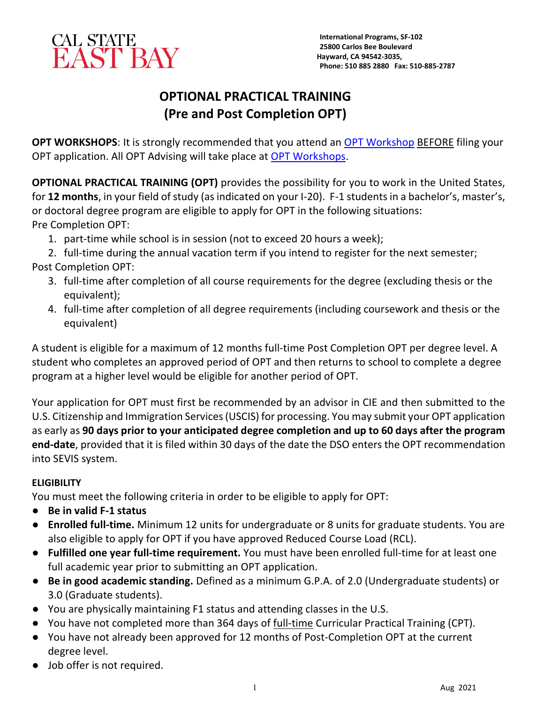

# **OPTIONAL PRACTICAL TRAINING (Pre and Post Completion OPT)**

**OPT WORKSHOPS**: It is strongly recommended that you attend an [OPT Workshop](https://www.csueastbay.edu/cie/f-1-students/employment/opt-workshops.html) BEFORE filing your OPT application. All OPT Advising will take place at [OPT Workshops.](https://www.csueastbay.edu/cie/f-1-students/employment/opt-workshops.html)

**OPTIONAL PRACTICAL TRAINING (OPT)** provides the possibility for you to work in the United States, for **12 months**, in your field of study (as indicated on your I-20). F-1 students in a bachelor's, master's, or doctoral degree program are eligible to apply for OPT in the following situations: Pre Completion OPT:

1. part-time while school is in session (not to exceed 20 hours a week);

2. full-time during the annual vacation term if you intend to register for the next semester; Post Completion OPT:

- 3. full-time after completion of all course requirements for the degree (excluding thesis or the equivalent);
- 4. full-time after completion of all degree requirements (including coursework and thesis or the equivalent)

A student is eligible for a maximum of 12 months full-time Post Completion OPT per degree level. A student who completes an approved period of OPT and then returns to school to complete a degree program at a higher level would be eligible for another period of OPT.

Your application for OPT must first be recommended by an advisor in CIE and then submitted to the U.S. Citizenship and Immigration Services (USCIS) for processing. You may submit your OPT application as early as **90 days prior to your anticipated degree completion and up to 60 days after the program end-date**, provided that it is filed within 30 days of the date the DSO enters the OPT recommendation into SEVIS system.

# **ELIGIBILITY**

You must meet the following criteria in order to be eligible to apply for OPT:

- **Be in valid F-1 status**
- **Enrolled full-time.** Minimum 12 units for undergraduate or 8 units for graduate students. You are also eligible to apply for OPT if you have approved Reduced Course Load (RCL).
- **Fulfilled one year full-time requirement.** You must have been enrolled full-time for at least one full academic year prior to submitting an OPT application.
- **Be in good academic standing.** Defined as a minimum G.P.A. of 2.0 (Undergraduate students) or 3.0 (Graduate students).
- You are physically maintaining F1 status and attending classes in the U.S.
- You have not completed more than 364 days of full-time Curricular Practical Training (CPT).
- You have not already been approved for 12 months of Post-Completion OPT at the current degree level.
- Job offer is not required.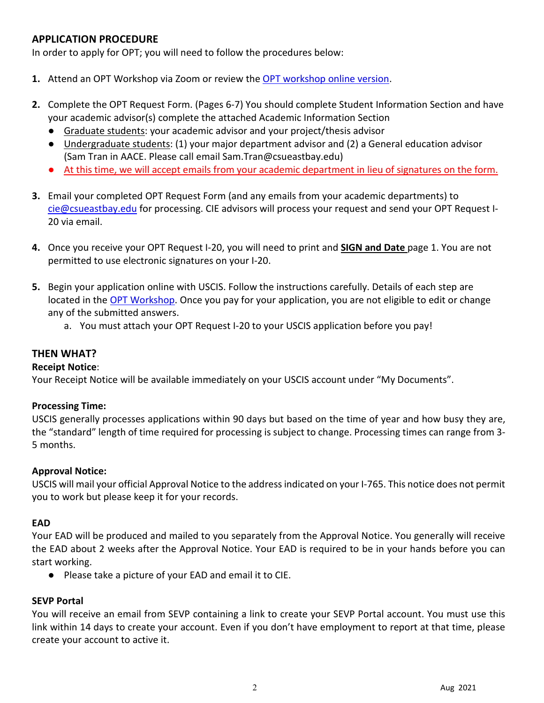# **APPLICATION PROCEDURE**

In order to apply for OPT; you will need to follow the procedures below:

- **1.** Attend an OPT Workshop via Zoom or review the [OPT workshop online version.](https://www.csueastbay.edu/cie/f-1-students/employment/opt-workshops.html)
- **2.** Complete the OPT Request Form. (Pages 6-7) You should complete Student Information Section and have your academic advisor(s) complete the attached Academic Information Section
	- Graduate students: your academic advisor and your project/thesis advisor
	- Undergraduate students: (1) your major department advisor and (2) a General education advisor (Sam Tran in AACE. Please call email Sam.Tran@csueastbay.edu)
	- At this time, we will accept emails from your academic department in lieu of signatures on the form.
- **3.** Email your completed OPT Request Form (and any emails from your academic departments) to [cie@csueastbay.edu](mailto:cie@csueastbay.edu) for processing. CIE advisors will process your request and send your OPT Request I-20 via email.
- **4.** Once you receive your OPT Request I-20, you will need to print and **SIGN and Date** page 1. You are not permitted to use electronic signatures on your I-20.
- **5.** Begin your application online with USCIS. Follow the instructions carefully. Details of each step are located in the **OPT Workshop**. Once you pay for your application, you are not eligible to edit or change any of the submitted answers.
	- a. You must attach your OPT Request I-20 to your USCIS application before you pay!

## **THEN WHAT?**

#### **Receipt Notice**:

Your Receipt Notice will be available immediately on your USCIS account under "My Documents".

#### **Processing Time:**

USCIS generally processes applications within 90 days but based on the time of year and how busy they are, the "standard" length of time required for processing is subject to change. Processing times can range from 3- 5 months.

#### **Approval Notice:**

USCIS will mail your official Approval Notice to the address indicated on your I-765. This notice does not permit you to work but please keep it for your records.

#### **EAD**

Your EAD will be produced and mailed to you separately from the Approval Notice. You generally will receive the EAD about 2 weeks after the Approval Notice. Your EAD is required to be in your hands before you can start working.

● Please take a picture of your EAD and email it to CIE.

#### **SEVP Portal**

You will receive an email from SEVP containing a link to create your SEVP Portal account. You must use this link within 14 days to create your account. Even if you don't have employment to report at that time, please create your account to active it.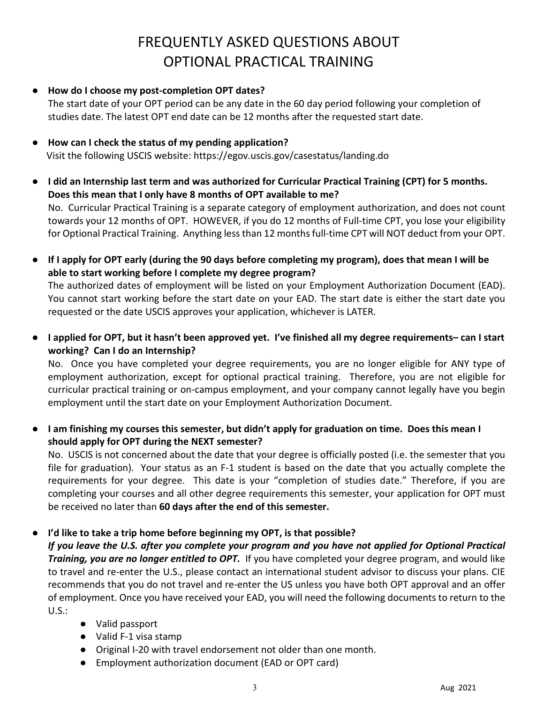# FREQUENTLY ASKED QUESTIONS ABOUT OPTIONAL PRACTICAL TRAINING

● **How do I choose my post-completion OPT dates?**

The start date of your OPT period can be any date in the 60 day period following your completion of studies date. The latest OPT end date can be 12 months after the requested start date.

- **How can I check the status of my pending application?** Visit the following USCIS website: https://egov.uscis.gov/casestatus/landing.do
- **I did an Internship last term and was authorized for Curricular Practical Training (CPT) for 5 months. Does this mean that I only have 8 months of OPT available to me?**

No. Curricular Practical Training is a separate category of employment authorization, and does not count towards your 12 months of OPT. HOWEVER, if you do 12 months of Full-time CPT, you lose your eligibility for Optional Practical Training. Anything less than 12 months full-time CPT will NOT deduct from your OPT.

● **If I apply for OPT early (during the 90 days before completing my program), does that mean I will be able to start working before I complete my degree program?**

The authorized dates of employment will be listed on your Employment Authorization Document (EAD). You cannot start working before the start date on your EAD. The start date is either the start date you requested or the date USCIS approves your application, whichever is LATER.

● **I applied for OPT, but it hasn't been approved yet. I've finished all my degree requirements– can I start working? Can I do an Internship?**

No. Once you have completed your degree requirements, you are no longer eligible for ANY type of employment authorization, except for optional practical training. Therefore, you are not eligible for curricular practical training or on-campus employment, and your company cannot legally have you begin employment until the start date on your Employment Authorization Document.

● **I am finishing my courses this semester, but didn't apply for graduation on time. Does this mean I should apply for OPT during the NEXT semester?**

No. USCIS is not concerned about the date that your degree is officially posted (i.e. the semester that you file for graduation). Your status as an F-1 student is based on the date that you actually complete the requirements for your degree. This date is your "completion of studies date." Therefore, if you are completing your courses and all other degree requirements this semester, your application for OPT must be received no later than **60 days after the end of this semester.**

### ● **I'd like to take a trip home before beginning my OPT, is that possible?**

*If you leave the U.S. after you complete your program and you have not applied for Optional Practical Training, you are no longer entitled to OPT.* If you have completed your degree program, and would like to travel and re-enter the U.S., please contact an international student advisor to discuss your plans. CIE recommends that you do not travel and re-enter the US unless you have both OPT approval and an offer of employment. Once you have received your EAD, you will need the following documents to return to the U.S.:

- Valid passport
- Valid F-1 visa stamp
- Original I-20 with travel endorsement not older than one month.
- Employment authorization document (EAD or OPT card)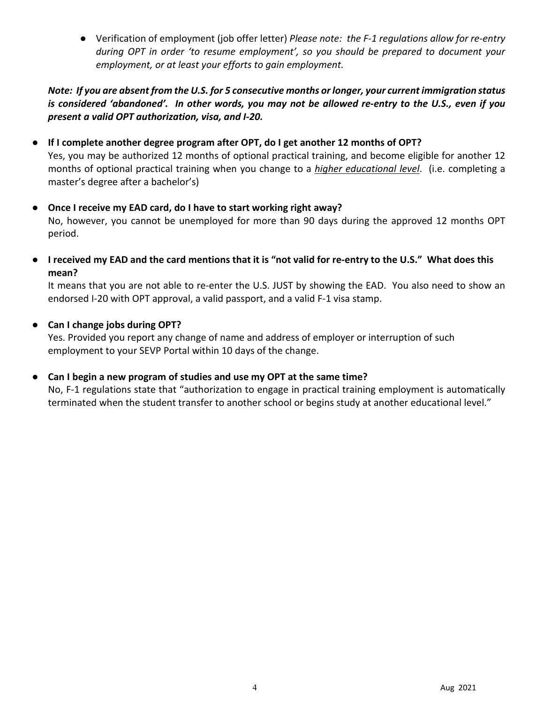● Verification of employment (job offer letter) *Please note: the F-1 regulations allow for re-entry during OPT in order 'to resume employment', so you should be prepared to document your employment, or at least your efforts to gain employment.*

## *Note: If you are absent from the U.S. for 5 consecutive months or longer, your current immigration status is considered 'abandoned'. In other words, you may not be allowed re-entry to the U.S., even if you present a valid OPT authorization, visa, and I-20.*

### ● **If I complete another degree program after OPT, do I get another 12 months of OPT?**

Yes, you may be authorized 12 months of optional practical training, and become eligible for another 12 months of optional practical training when you change to a *higher educational level*. (i.e. completing a master's degree after a bachelor's)

### ● **Once I receive my EAD card, do I have to start working right away?**

No, however, you cannot be unemployed for more than 90 days during the approved 12 months OPT period.

● **I received my EAD and the card mentions that it is "not valid for re-entry to the U.S." What does this mean?**

It means that you are not able to re-enter the U.S. JUST by showing the EAD. You also need to show an endorsed I-20 with OPT approval, a valid passport, and a valid F-1 visa stamp.

#### ● **Can I change jobs during OPT?**

Yes. Provided you report any change of name and address of employer or interruption of such employment to your SEVP Portal within 10 days of the change.

### ● **Can I begin a new program of studies and use my OPT at the same time?**

No, F-1 regulations state that "authorization to engage in practical training employment is automatically terminated when the student transfer to another school or begins study at another educational level."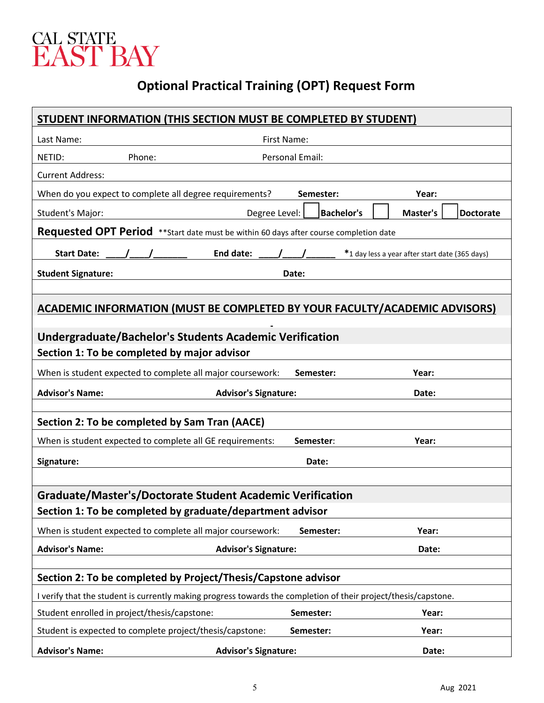

# **Optional Practical Training (OPT) Request Form**

| STUDENT INFORMATION (THIS SECTION MUST BE COMPLETED BY STUDENT)                                               |                                                                                                                                                                                                                         |                   |                                                |  |  |
|---------------------------------------------------------------------------------------------------------------|-------------------------------------------------------------------------------------------------------------------------------------------------------------------------------------------------------------------------|-------------------|------------------------------------------------|--|--|
| Last Name:                                                                                                    |                                                                                                                                                                                                                         | First Name:       |                                                |  |  |
| NETID:                                                                                                        | Phone:                                                                                                                                                                                                                  | Personal Email:   |                                                |  |  |
| <b>Current Address:</b>                                                                                       |                                                                                                                                                                                                                         |                   |                                                |  |  |
| When do you expect to complete all degree requirements?<br>Semester:<br>Year:                                 |                                                                                                                                                                                                                         |                   |                                                |  |  |
| Student's Major:                                                                                              | Degree Level:                                                                                                                                                                                                           | <b>Bachelor's</b> | Master's<br><b>Doctorate</b>                   |  |  |
| <b>Requested OPT Period</b> **Start date must be within 60 days after course completion date                  |                                                                                                                                                                                                                         |                   |                                                |  |  |
| <b>Start Date:</b>                                                                                            | $\left( \begin{array}{ccc} \frac{1}{2} & \frac{1}{2} \\ \frac{1}{2} & \frac{1}{2} \end{array} \right)$ End date: $\left( \begin{array}{ccc} \frac{1}{2} & \frac{1}{2} \\ \frac{1}{2} & \frac{1}{2} \end{array} \right)$ |                   | *1 day less a year after start date (365 days) |  |  |
| <b>Student Signature:</b>                                                                                     |                                                                                                                                                                                                                         | Date:             |                                                |  |  |
|                                                                                                               |                                                                                                                                                                                                                         |                   |                                                |  |  |
| ACADEMIC INFORMATION (MUST BE COMPLETED BY YOUR FACULTY/ACADEMIC ADVISORS)                                    |                                                                                                                                                                                                                         |                   |                                                |  |  |
|                                                                                                               |                                                                                                                                                                                                                         |                   |                                                |  |  |
| <b>Undergraduate/Bachelor's Students Academic Verification</b><br>Section 1: To be completed by major advisor |                                                                                                                                                                                                                         |                   |                                                |  |  |
|                                                                                                               |                                                                                                                                                                                                                         |                   |                                                |  |  |
|                                                                                                               | When is student expected to complete all major coursework:                                                                                                                                                              | Semester:         | Year:                                          |  |  |
| <b>Advisor's Name:</b>                                                                                        | <b>Advisor's Signature:</b>                                                                                                                                                                                             |                   | Date:                                          |  |  |
| Section 2: To be completed by Sam Tran (AACE)                                                                 |                                                                                                                                                                                                                         |                   |                                                |  |  |
|                                                                                                               | When is student expected to complete all GE requirements:                                                                                                                                                               | Semester:         | Year:                                          |  |  |
| Signature:                                                                                                    |                                                                                                                                                                                                                         | Date:             |                                                |  |  |
|                                                                                                               |                                                                                                                                                                                                                         |                   |                                                |  |  |
| <b>Graduate/Master's/Doctorate Student Academic Verification</b>                                              |                                                                                                                                                                                                                         |                   |                                                |  |  |
| Section 1: To be completed by graduate/department advisor                                                     |                                                                                                                                                                                                                         |                   |                                                |  |  |
|                                                                                                               | When is student expected to complete all major coursework:                                                                                                                                                              | Semester:         | Year:                                          |  |  |
| <b>Advisor's Name:</b>                                                                                        | <b>Advisor's Signature:</b>                                                                                                                                                                                             |                   | Date:                                          |  |  |
|                                                                                                               |                                                                                                                                                                                                                         |                   |                                                |  |  |
| Section 2: To be completed by Project/Thesis/Capstone advisor                                                 |                                                                                                                                                                                                                         |                   |                                                |  |  |
|                                                                                                               | I verify that the student is currently making progress towards the completion of their project/thesis/capstone.                                                                                                         |                   |                                                |  |  |
|                                                                                                               |                                                                                                                                                                                                                         |                   |                                                |  |  |
|                                                                                                               | Student enrolled in project/thesis/capstone:                                                                                                                                                                            | Semester:         | Year:                                          |  |  |
|                                                                                                               | Student is expected to complete project/thesis/capstone:                                                                                                                                                                | Semester:         | Year:                                          |  |  |